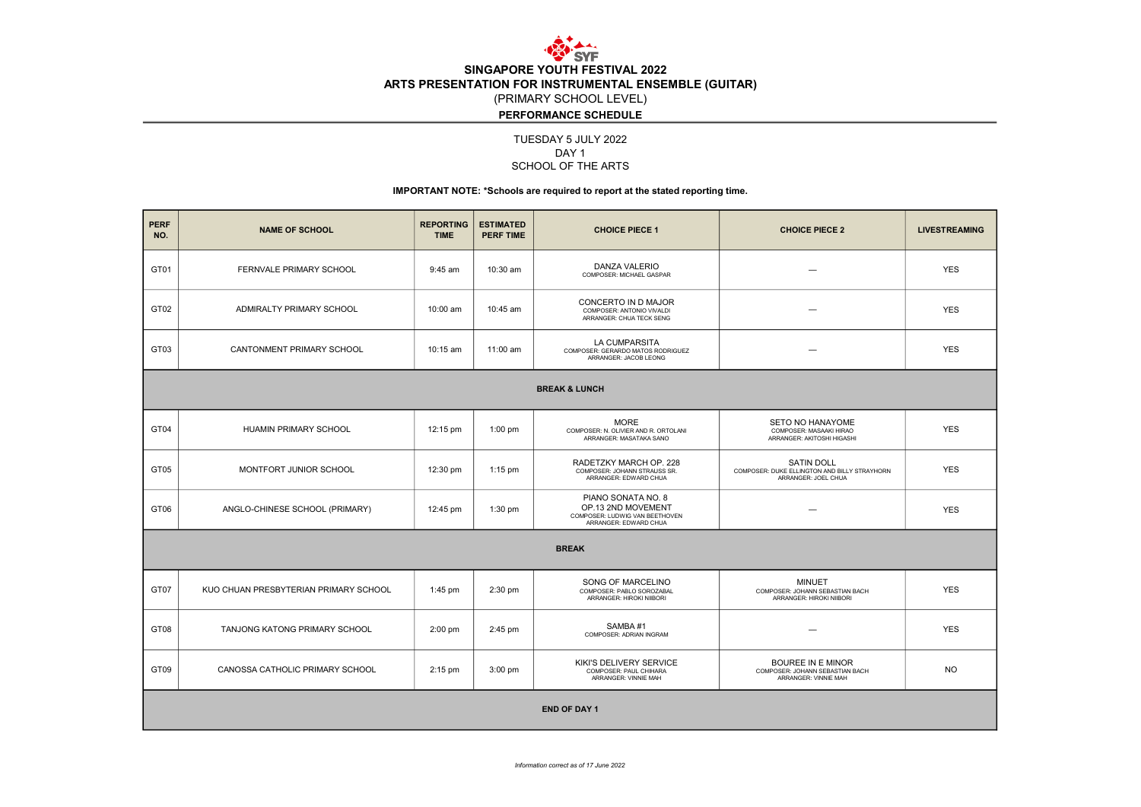

DAY 1 SCHOOL OF THE ARTS TUESDAY 5 JULY 2022

## IMPORTANT NOTE: \*Schools are required to report at the stated reporting time.

| <b>PERF</b><br>NO.       | <b>NAME OF SCHOOL</b>                 | <b>REPORTING</b><br><b>TIME</b> | <b>ESTIMATED</b><br><b>PERF TIME</b> | <b>CHOICE PIECE 1</b>                                                                               | <b>CHOICE PIECE 2</b>                                                                    | <b>LIVESTREAMING</b> |  |  |  |  |
|--------------------------|---------------------------------------|---------------------------------|--------------------------------------|-----------------------------------------------------------------------------------------------------|------------------------------------------------------------------------------------------|----------------------|--|--|--|--|
| GT01                     | FERNVALE PRIMARY SCHOOL               | 9:45 am                         | 10:30 am                             | DANZA VALERIO<br>COMPOSER: MICHAEL GASPAR                                                           |                                                                                          | <b>YES</b>           |  |  |  |  |
| GT02                     | ADMIRALTY PRIMARY SCHOOL              | 10:00 am                        | 10:45 am                             | CONCERTO IN D MAJOR<br>COMPOSER: ANTONIO VIVALDI<br>ARRANGER: CHUA TECK SENG                        |                                                                                          | <b>YES</b>           |  |  |  |  |
| GT03                     | CANTONMENT PRIMARY SCHOOL             | $10:15$ am                      | $11:00$ am                           | LA CUMPARSITA<br>COMPOSER: GERARDO MATOS RODRIGUEZ<br>ARRANGER: JACOB LEONG                         |                                                                                          | <b>YES</b>           |  |  |  |  |
| <b>BREAK &amp; LUNCH</b> |                                       |                                 |                                      |                                                                                                     |                                                                                          |                      |  |  |  |  |
| GT04                     | <b>HUAMIN PRIMARY SCHOOL</b>          | 12:15 pm                        | $1:00$ pm                            | <b>MORE</b><br>COMPOSER: N. OLIVIER AND R. ORTOLANI<br>ARRANGER: MASATAKA SANO                      | <b>SETO NO HANAYOME</b><br>COMPOSER: MASAAKI HIRAO<br>ARRANGER: AKITOSHI HIGASHI         | <b>YES</b>           |  |  |  |  |
| GT05                     | MONTFORT JUNIOR SCHOOL                | 12:30 pm                        | $1:15$ pm                            | RADETZKY MARCH OP. 228<br>COMPOSER: JOHANN STRAUSS SR.<br>ARRANGER: EDWARD CHUA                     | <b>SATIN DOLL</b><br>COMPOSER: DUKE ELLINGTON AND BILLY STRAYHORN<br>ARRANGER: JOEL CHUA | <b>YES</b>           |  |  |  |  |
| GT06                     | ANGLO-CHINESE SCHOOL (PRIMARY)        | 12:45 pm                        | 1:30 pm                              | PIANO SONATA NO. 8<br>OP.13 2ND MOVEMENT<br>COMPOSER: LUDWIG VAN BEETHOVEN<br>ARRANGER: EDWARD CHUA |                                                                                          | <b>YES</b>           |  |  |  |  |
| <b>BREAK</b>             |                                       |                                 |                                      |                                                                                                     |                                                                                          |                      |  |  |  |  |
| GT07                     | KUO CHUAN PRESBYTERIAN PRIMARY SCHOOL | $1:45$ pm                       | 2:30 pm                              | SONG OF MARCELINO<br>COMPOSER: PABLO SOROZABAL<br>ARRANGER: HIROKI NIIBORI                          | <b>MINUET</b><br>COMPOSER: JOHANN SEBASTIAN BACH<br>ARRANGER: HIROKI NIIBORI             | <b>YES</b>           |  |  |  |  |
| GT08                     | TANJONG KATONG PRIMARY SCHOOL         | $2:00$ pm                       | 2:45 pm                              | SAMBA#1<br>COMPOSER: ADRIAN INGRAM                                                                  |                                                                                          | <b>YES</b>           |  |  |  |  |
| GT09                     | CANOSSA CATHOLIC PRIMARY SCHOOL       | $2:15$ pm                       | $3:00$ pm                            | KIKI'S DELIVERY SERVICE<br>COMPOSER: PAUL CHIHARA<br>ARRANGER: VINNIE MAH                           | <b>BOUREE IN E MINOR</b><br>COMPOSER: JOHANN SEBASTIAN BACH<br>ARRANGER: VINNIE MAH      | <b>NO</b>            |  |  |  |  |
| <b>END OF DAY 1</b>      |                                       |                                 |                                      |                                                                                                     |                                                                                          |                      |  |  |  |  |